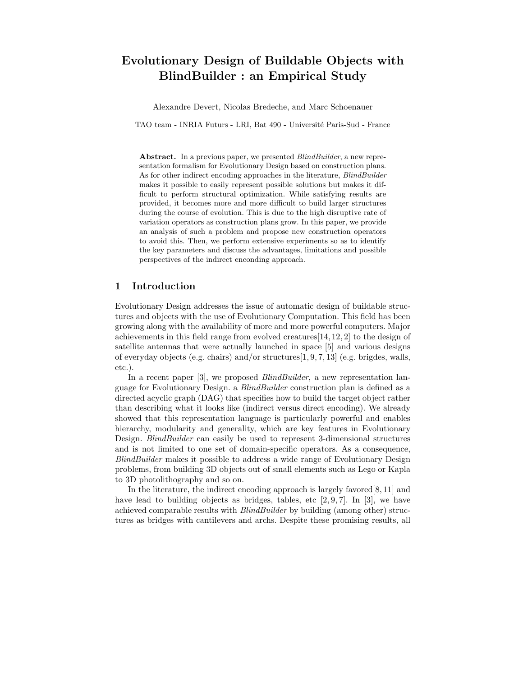# Evolutionary Design of Buildable Objects with BlindBuilder : an Empirical Study

Alexandre Devert, Nicolas Bredeche, and Marc Schoenauer

TAO team - INRIA Futurs - LRI, Bat 490 - Universit´e Paris-Sud - France

Abstract. In a previous paper, we presented *BlindBuilder*, a new representation formalism for Evolutionary Design based on construction plans. As for other indirect encoding approaches in the literature, BlindBuilder makes it possible to easily represent possible solutions but makes it difficult to perform structural optimization. While satisfying results are provided, it becomes more and more difficult to build larger structures during the course of evolution. This is due to the high disruptive rate of variation operators as construction plans grow. In this paper, we provide an analysis of such a problem and propose new construction operators to avoid this. Then, we perform extensive experiments so as to identify the key parameters and discuss the advantages, limitations and possible perspectives of the indirect enconding approach.

## 1 Introduction

Evolutionary Design addresses the issue of automatic design of buildable structures and objects with the use of Evolutionary Computation. This field has been growing along with the availability of more and more powerful computers. Major achievements in this field range from evolved creatures[14, 12, 2] to the design of satellite antennas that were actually launched in space [5] and various designs of everyday objects (e.g. chairs) and/or structures[1, 9, 7, 13] (e.g. brigdes, walls, etc.).

In a recent paper [3], we proposed *BlindBuilder*, a new representation language for Evolutionary Design. a BlindBuilder construction plan is defined as a directed acyclic graph (DAG) that specifies how to build the target object rather than describing what it looks like (indirect versus direct encoding). We already showed that this representation language is particularly powerful and enables hierarchy, modularity and generality, which are key features in Evolutionary Design. BlindBuilder can easily be used to represent 3-dimensional structures and is not limited to one set of domain-specific operators. As a consequence, BlindBuilder makes it possible to address a wide range of Evolutionary Design problems, from building 3D objects out of small elements such as Lego or Kapla to 3D photolithography and so on.

In the literature, the indirect encoding approach is largely favored [8, 11] and have lead to building objects as bridges, tables, etc  $[2, 9, 7]$ . In  $[3]$ , we have achieved comparable results with BlindBuilder by building (among other) structures as bridges with cantilevers and archs. Despite these promising results, all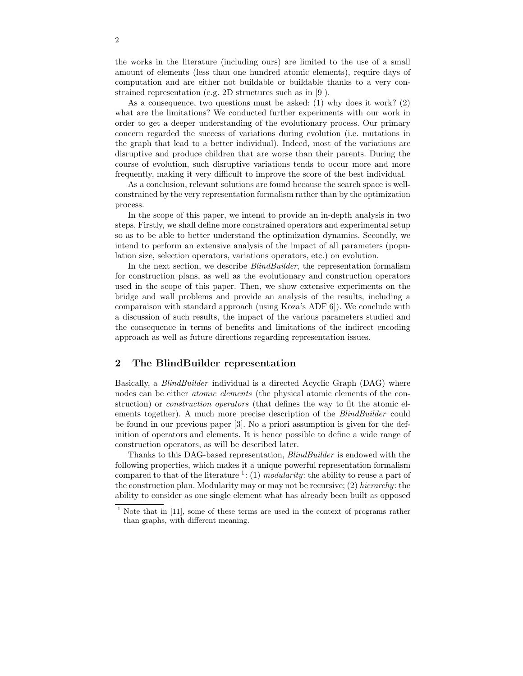the works in the literature (including ours) are limited to the use of a small amount of elements (less than one hundred atomic elements), require days of computation and are either not buildable or buildable thanks to a very constrained representation (e.g. 2D structures such as in [9]).

As a consequence, two questions must be asked: (1) why does it work? (2) what are the limitations? We conducted further experiments with our work in order to get a deeper understanding of the evolutionary process. Our primary concern regarded the success of variations during evolution (i.e. mutations in the graph that lead to a better individual). Indeed, most of the variations are disruptive and produce children that are worse than their parents. During the course of evolution, such disruptive variations tends to occur more and more frequently, making it very difficult to improve the score of the best individual.

As a conclusion, relevant solutions are found because the search space is wellconstrained by the very representation formalism rather than by the optimization process.

In the scope of this paper, we intend to provide an in-depth analysis in two steps. Firstly, we shall define more constrained operators and experimental setup so as to be able to better understand the optimization dynamics. Secondly, we intend to perform an extensive analysis of the impact of all parameters (population size, selection operators, variations operators, etc.) on evolution.

In the next section, we describe *BlindBuilder*, the representation formalism for construction plans, as well as the evolutionary and construction operators used in the scope of this paper. Then, we show extensive experiments on the bridge and wall problems and provide an analysis of the results, including a comparaison with standard approach (using Koza's ADF[6]). We conclude with a discussion of such results, the impact of the various parameters studied and the consequence in terms of benefits and limitations of the indirect encoding approach as well as future directions regarding representation issues.

## 2 The BlindBuilder representation

Basically, a *BlindBuilder* individual is a directed Acyclic Graph (DAG) where nodes can be either atomic elements (the physical atomic elements of the construction) or construction operators (that defines the way to fit the atomic elements together). A much more precise description of the *BlindBuilder* could be found in our previous paper [3]. No a priori assumption is given for the definition of operators and elements. It is hence possible to define a wide range of construction operators, as will be described later.

Thanks to this DAG-based representation, BlindBuilder is endowed with the following properties, which makes it a unique powerful representation formalism compared to that of the literature  $\frac{1}{1}$ : (1) modularity: the ability to reuse a part of the construction plan. Modularity may or may not be recursive; (2) hierarchy: the ability to consider as one single element what has already been built as opposed

Note that in [11], some of these terms are used in the context of programs rather than graphs, with different meaning.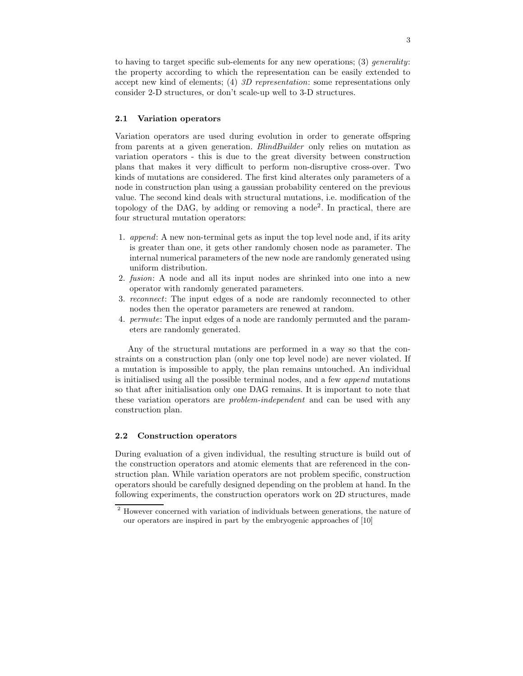to having to target specific sub-elements for any new operations; (3) *generality*: the property according to which the representation can be easily extended to accept new kind of elements; (4) 3D representation: some representations only consider 2-D structures, or don't scale-up well to 3-D structures.

#### 2.1 Variation operators

Variation operators are used during evolution in order to generate offspring from parents at a given generation. BlindBuilder only relies on mutation as variation operators - this is due to the great diversity between construction plans that makes it very difficult to perform non-disruptive cross-over. Two kinds of mutations are considered. The first kind alterates only parameters of a node in construction plan using a gaussian probability centered on the previous value. The second kind deals with structural mutations, i.e. modification of the topology of the DAG, by adding or removing a node<sup>2</sup> . In practical, there are four structural mutation operators:

- 1. append: A new non-terminal gets as input the top level node and, if its arity is greater than one, it gets other randomly chosen node as parameter. The internal numerical parameters of the new node are randomly generated using uniform distribution.
- 2. fusion: A node and all its input nodes are shrinked into one into a new operator with randomly generated parameters.
- 3. reconnect: The input edges of a node are randomly reconnected to other nodes then the operator parameters are renewed at random.
- 4. permute: The input edges of a node are randomly permuted and the parameters are randomly generated.

Any of the structural mutations are performed in a way so that the constraints on a construction plan (only one top level node) are never violated. If a mutation is impossible to apply, the plan remains untouched. An individual is initialised using all the possible terminal nodes, and a few append mutations so that after initialisation only one DAG remains. It is important to note that these variation operators are problem-independent and can be used with any construction plan.

### 2.2 Construction operators

During evaluation of a given individual, the resulting structure is build out of the construction operators and atomic elements that are referenced in the construction plan. While variation operators are not problem specific, construction operators should be carefully designed depending on the problem at hand. In the following experiments, the construction operators work on 2D structures, made

<sup>2</sup> However concerned with variation of individuals between generations, the nature of our operators are inspired in part by the embryogenic approaches of [10]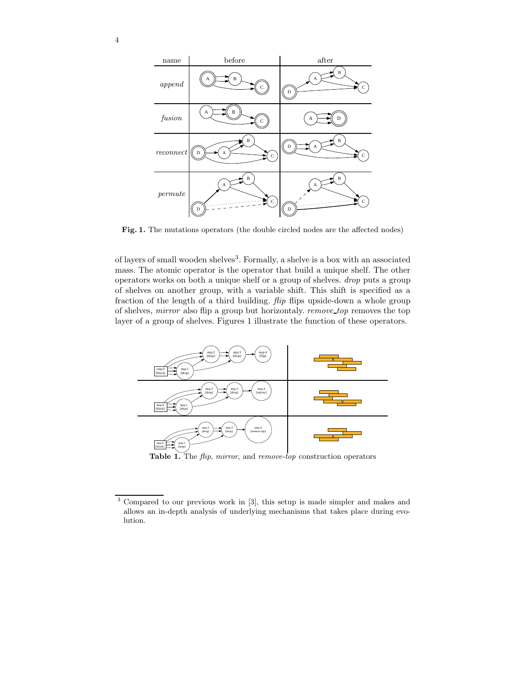



Fig. 1. The mutations operators (the double circled nodes are the affected nodes)

of layers of small wooden shelves<sup>3</sup>. Formally, a shelve is a box with an associated mass. The atomic operator is the operator that build a unique shelf. The other operators works on both a unique shelf or a group of shelves. drop puts a group of shelves on another group, with a variable shift. This shift is specified as a fraction of the length of a third building.  $flip$  flips upside-down a whole group of shelves, mirror also flip a group but horizontaly. remove top removes the top layer of a group of shelves. Figures 1 illustrate the function of these operators.



Table 1. The  $flip$ , mirror, and remove-top construction operators

<sup>3</sup> Compared to our previous work in [3], this setup is made simpler and makes and allows an in-depth analysis of underlying mechanisms that takes place during evolution.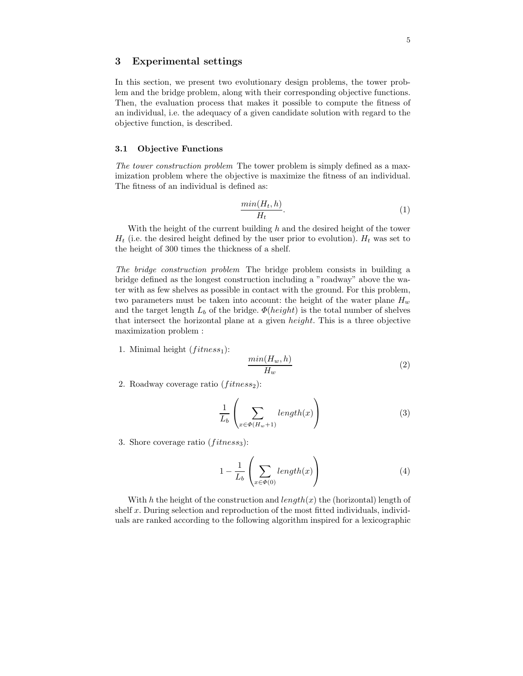## 3 Experimental settings

In this section, we present two evolutionary design problems, the tower problem and the bridge problem, along with their corresponding objective functions. Then, the evaluation process that makes it possible to compute the fitness of an individual, i.e. the adequacy of a given candidate solution with regard to the objective function, is described.

#### 3.1 Objective Functions

The tower construction problem The tower problem is simply defined as a maximization problem where the objective is maximize the fitness of an individual. The fitness of an individual is defined as:

$$
\frac{\min(H_t, h)}{H_t}.\tag{1}
$$

With the height of the current building  $h$  and the desired height of the tower  $H_t$  (i.e. the desired height defined by the user prior to evolution).  $H_t$  was set to the height of 300 times the thickness of a shelf.

The bridge construction problem The bridge problem consists in building a bridge defined as the longest construction including a "roadway" above the water with as few shelves as possible in contact with the ground. For this problem, two parameters must be taken into account: the height of the water plane  $H_w$ and the target length  $L_b$  of the bridge.  $\Phi(height)$  is the total number of shelves that intersect the horizontal plane at a given height. This is a three objective maximization problem :

1. Minimal height  $(fitness<sub>1</sub>)$ :

$$
\frac{\min(H_w, h)}{H_w} \tag{2}
$$

2. Roadway coverage ratio  $(fitness<sub>2</sub>)$ :

$$
\frac{1}{L_b} \left( \sum_{x \in \Phi(H_w + 1)} length(x) \right) \tag{3}
$$

3. Shore coverage ratio ( $fitness_3$ ):

$$
1 - \frac{1}{L_b} \left( \sum_{x \in \Phi(0)} length(x) \right) \tag{4}
$$

With h the height of the construction and  $length(x)$  the (horizontal) length of shelf  $x$ . During selection and reproduction of the most fitted individuals, individuals are ranked according to the following algorithm inspired for a lexicographic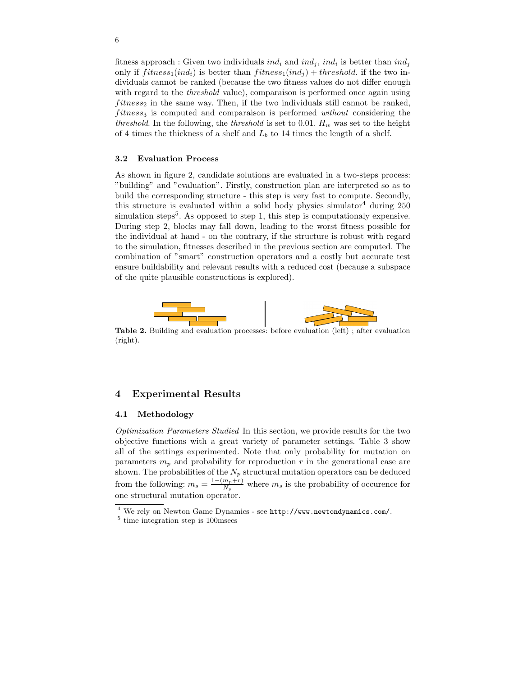fitness approach : Given two individuals  $ind_i$  and  $ind_j$ ,  $ind_i$  is better than  $ind_j$ only if  $fitness_1(ind_i)$  is better than  $fitness_1(ind_i) + threshold$ . if the two individuals cannot be ranked (because the two fitness values do not differ enough with regard to the *threshold* value), comparaison is performed once again using  $fitness_2$  in the same way. Then, if the two individuals still cannot be ranked,  $fitness_3$  is computed and comparaison is performed without considering the threshold. In the following, the threshold is set to 0.01.  $H_w$  was set to the height of 4 times the thickness of a shelf and  $L_b$  to 14 times the length of a shelf.

## 3.2 Evaluation Process

As shown in figure 2, candidate solutions are evaluated in a two-steps process: "building" and "evaluation". Firstly, construction plan are interpreted so as to build the corresponding structure - this step is very fast to compute. Secondly, this structure is evaluated within a solid body physics simulator<sup>4</sup> during  $250$ simulation steps<sup>5</sup>. As opposed to step 1, this step is computationaly expensive. During step 2, blocks may fall down, leading to the worst fitness possible for the individual at hand - on the contrary, if the structure is robust with regard to the simulation, fitnesses described in the previous section are computed. The combination of "smart" construction operators and a costly but accurate test ensure buildability and relevant results with a reduced cost (because a subspace of the quite plausible constructions is explored).



Table 2. Building and evaluation processes: before evaluation (left) ; after evaluation (right).

## 4 Experimental Results

## 4.1 Methodology

Optimization Parameters Studied In this section, we provide results for the two objective functions with a great variety of parameter settings. Table 3 show all of the settings experimented. Note that only probability for mutation on parameters  $m_p$  and probability for reproduction r in the generational case are shown. The probabilities of the  $N_p$  structural mutation operators can be deduced from the following:  $m_s = \frac{1-(m_p+r)}{N_s}$  $\frac{m_p+r}{N_p}$  where  $m_s$  is the probability of occurence for one structural mutation operator.

<sup>4</sup> We rely on Newton Game Dynamics - see http://www.newtondynamics.com/.

<sup>5</sup> time integration step is 100msecs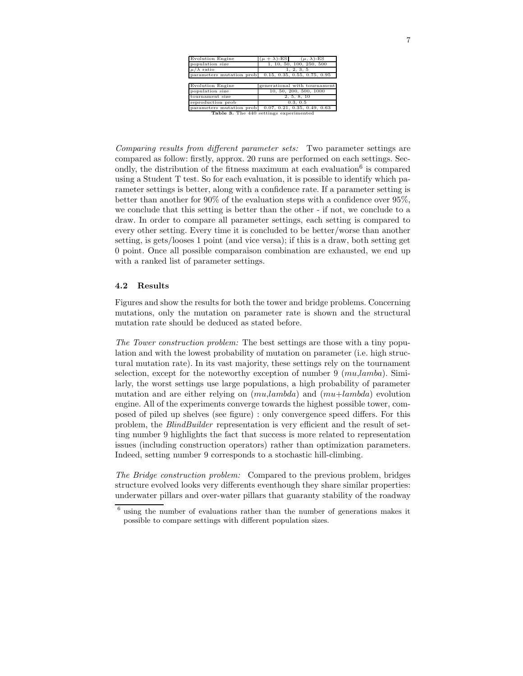| <b>Evolution Engine</b>  | $(\mu + \lambda)$ -ES<br>$(\mu, \lambda)$ -ES |
|--------------------------|-----------------------------------------------|
| population size          | 1, 10, 50, 100, 250, 500                      |
| $\mu/\lambda$ ratio      | 1, 2, 3, 5                                    |
| parameters mutation prob | 0.15, 0.35, 0.55, 0.75, 0.95                  |
|                          |                                               |
| <b>Evolution Engine</b>  | generational with tournament                  |
| population size          | 10, 50, 200, 500, 1000                        |
| tournament size          | 2, 5, 8, 10                                   |
| reproduction prob        | 0.3, 0.5                                      |
| parameters mutation prob | 0.07, 0.21, 0.35, 0.49, 0.63                  |
|                          | Table 3. The 440 settings experimented        |

Comparing results from different parameter sets: Two parameter settings are compared as follow: firstly, approx. 20 runs are performed on each settings. Secondly, the distribution of the fitness maximum at each evaluation<sup>6</sup> is compared using a Student T test. So for each evaluation, it is possible to identify which parameter settings is better, along with a confidence rate. If a parameter setting is better than another for 90% of the evaluation steps with a confidence over 95%, we conclude that this setting is better than the other - if not, we conclude to a draw. In order to compare all parameter settings, each setting is compared to every other setting. Every time it is concluded to be better/worse than another setting, is gets/looses 1 point (and vice versa); if this is a draw, both setting get 0 point. Once all possible comparaison combination are exhausted, we end up with a ranked list of parameter settings.

#### 4.2 Results

Figures and show the results for both the tower and bridge problems. Concerning mutations, only the mutation on parameter rate is shown and the structural mutation rate should be deduced as stated before.

The Tower construction problem: The best settings are those with a tiny population and with the lowest probability of mutation on parameter (i.e. high structural mutation rate). In its vast majority, these settings rely on the tournament selection, except for the noteworthy exception of number  $9 \ (mu, lambda)$ . Similarly, the worst settings use large populations, a high probability of parameter mutation and are either relying on  $(mu,lambda)$  and  $(mu+lambda)$  evolution engine. All of the experiments converge towards the highest possible tower, composed of piled up shelves (see figure) : only convergence speed differs. For this problem, the BlindBuilder representation is very efficient and the result of setting number 9 highlights the fact that success is more related to representation issues (including construction operators) rather than optimization parameters. Indeed, setting number 9 corresponds to a stochastic hill-climbing.

The Bridge construction problem: Compared to the previous problem, bridges structure evolved looks very differents eventhough they share similar properties: underwater pillars and over-water pillars that guaranty stability of the roadway

using the number of evaluations rather than the number of generations makes it possible to compare settings with different population sizes.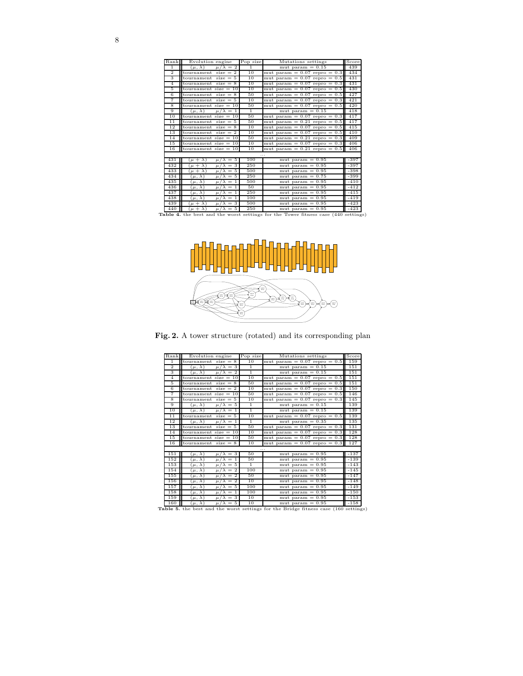| Rank            | Evolution engine                               | Pop size       | Mutations settings                                                                 | Score  |
|-----------------|------------------------------------------------|----------------|------------------------------------------------------------------------------------|--------|
| $\overline{1}$  | $\mu/\lambda = 2$<br>$(\mu, \lambda)$          | $\mathbf{1}$   | mut param $= 0.15$                                                                 | 439    |
| $\overline{2}$  | $size = 2$<br>tournament                       | 10             | mut param $= 0.07$ repro $= 0.3$                                                   | 434    |
| 3               | tournament $size = 5$                          | 10             | mut param $= 0.07$ repro $= 0.5$                                                   | 431    |
| $\overline{4}$  | $size = 8$<br>tournament                       | 10             | mut param = $0.07$ repro = 0.3                                                     | 431    |
| 5               | tournament size $= 10$                         | 10             | mut param $= 0.07$ repro $= 0.5$                                                   | 430    |
| 6               | tournament size $= 8$                          | 50             | mut param $= 0.07$ repro $= 0.5$                                                   | 427    |
| 7               | tournament size $= 5$                          | 10             | mut param $= 0.07$ repro $= 0.3$                                                   | 421    |
| 8               | tournament size $= 10$                         | 50             | mut param $= 0.07$ repro $= 0.5$                                                   | 420    |
| 9               | $(\mu, \lambda)$<br>$\mu/\lambda = 1$          | $\overline{1}$ | mut param $= 0.15$                                                                 | 418    |
| 10              | tournament size $= 10$                         | 50             | mut param $= 0.07$ repro $= 0.3$                                                   | 417    |
| $\overline{11}$ | tournament $size = 5$                          | 50             | mut param $= 0.21$ repro $= 0.5$                                                   | 417    |
| 12              | $size = 8$<br>tournament                       | 10             | mut param $= 0.07$ repro $= 0.5$                                                   | 415    |
| 13              | tournament size $= 2$                          | 10             | mut param $= 0.07$ repro $= 0.5$                                                   | 410    |
| 14              | tournament size $= 10$                         | 50             | mut param $= 0.21$ repro $= 0.3$                                                   | 409    |
| 15              | tournament size $= 10$                         | 10             | mut param $= 0.07$ repro $= 0.3$                                                   | 406    |
| 16              | tournament size $= 10$                         | 10             | mut param $= 0.21$ repro $= 0.5$                                                   | 406    |
|                 |                                                |                | $\cdots$                                                                           |        |
| 431             | $(\mu + \lambda)$<br>$= 5$<br>$\mu/\lambda$    | 100            | mut param $= 0.95$                                                                 | $-397$ |
| 432             | 3<br>$(\mu + \lambda)$<br>$\mu/\lambda$<br>$=$ | 250            | mut param $= 0.95$                                                                 | $-397$ |
| 433             | $(\mu + \lambda)$<br>$= 5$<br>$\mu/\lambda$    | 500            | mut param $= 0.95$                                                                 | $-398$ |
| 434             | $\mu/\lambda = 5$<br>$(\mu, \lambda)$          | 250            | mut param $=$ 0.75                                                                 | $-399$ |
| 435             | $\mu/\lambda = 1$<br>$(\mu, \lambda)$          | 500            | mut param $=$ 0.95                                                                 | $-410$ |
| 436             | $(\mu, \lambda)$<br>$\mu/\lambda = 1$          | 50             | mut param $= 0.95$                                                                 | $-412$ |
| 437             | $\mu/\lambda = 1$<br>$(\mu, \lambda)$          | 250            | mut param $= 0.95$                                                                 | $-415$ |
| 438             | $(\mu, \lambda)$<br>$\mu/\lambda = 1$          | 100            | mut param $=$ 0.95                                                                 | $-419$ |
| 439             | $\mu/\lambda = 3$<br>$\mu + \lambda$           | 500            | mut param $= 0.95$                                                                 | $-423$ |
| 440             | $\mu/\lambda = 5$<br>$(\mu + \lambda)$         | 250            | mut param $=$ 0.95                                                                 | $-423$ |
|                 |                                                |                | Table 4. the best and the worst settings for the Tower fitness case (440 settings) |        |



Fig. 2. A tower structure (rotated) and its corresponding plan

| Rank           | Evolution engine                                           | Pop size       | Mutations settings               | Score  |
|----------------|------------------------------------------------------------|----------------|----------------------------------|--------|
| $\overline{1}$ | tournament $size = 8$                                      | 10             | mut param $= 0.07$ repro $= 0.5$ | 159    |
| $\overline{2}$ | $(\mu, \lambda)$<br>$\mu/\lambda = 3$                      | T              | mut param $= 0.15$               | 151    |
| 3              | $\mu/\lambda = 2$<br>$(\mu, \lambda)$                      | T              | mut param $= 0.15$               | 151    |
| $\overline{4}$ | tournament size $= 10$                                     | 10             | mut param $= 0.07$ repro $= 0.5$ | 151    |
| 5              | $size = 8$<br>tournament                                   | 50             | mut param = $0.07$ repro = $0.5$ | 151    |
| 6              | $size = 2$<br>tournament                                   | 10             | mut param $= 0.07$ repro $= 0.3$ | 150    |
| 7              | tournament size $= 10$                                     | 50             | mut param $= 0.07$ repro $= 0.5$ | 146    |
| 8              | tournament<br>$size = 5$                                   | 10             | mut param $= 0.07$ repro $= 0.3$ | 145    |
| 9              | $\mu/\lambda = 5$<br>$(\mu, \lambda)$                      | $\overline{1}$ | mut param $= 0.15$               | 139    |
| 10             | $\mu/\lambda=1$<br>$(\mu, \lambda)$                        | T              | mut param $= 0.15$               | 139    |
| 11             | tournament $size = 5$                                      | 10             | mut param $= 0.07$ repro $= 0.5$ | 139    |
| 12             | $(\mu, \lambda)$<br>$\mu/\lambda = 1$                      | T              | mut param $=$ 0.35               | 135    |
| 13             | $size = 5$<br>tournament                                   | 50             | mut param $= 0.07$ repro $= 0.3$ | 131    |
| 14             | tournament size $= 10$                                     | 10             | mut param = $0.07$ repro = 0.3   | 128    |
| 15             | tournament size $= 10$                                     | 50             | mut param $= 0.07$ repro $= 0.3$ | 128    |
| 16             | tournament $size = 8$                                      | 10             | mut param = $0.07$ repro = 0.3   | 127    |
|                |                                                            |                |                                  |        |
| 151            | $\mu/\lambda = 3$<br>$(\mu,\,\lambda)$                     | 50             | mut param $= 0.95$               | $-137$ |
| 152            | $(\mu, \lambda)$<br>$\mu/\lambda =$<br>$\overline{1}$      | 50             | mut param $= 0.95$               | $-139$ |
| 153            | $\mu/\lambda = 5$<br>$(\mu, \lambda)$                      | T              | mut param $=$ 0.95               | $-143$ |
| 154            | $(\mu, \overline{\lambda})$<br>$\mu/\lambda = 2$           | 100            | mut param $= 0.95$               | $-145$ |
| 155            | $\mu/\lambda = 2$<br>$(\mu, \lambda)$                      | 50             | mut param $= 0.95$               | $-147$ |
| 156            | $(\mu, \lambda)$<br>$\overline{2}$<br>$=$<br>$\mu/\lambda$ | 10             | mut param $= 0.95$               | $-148$ |
| 157            | $\mu/\lambda = 5$<br>$(\mu, \lambda)$                      | 100            | mut param $= 0.95$               | $-149$ |
| 158            | $(\mu, \lambda)$<br>$\mu/\lambda=1$                        | 100            | mut param $= 0.95$               | $-150$ |
| 159            | $(\mu, \lambda)$<br>$\mu/\lambda = 3$                      | 10             | mut param $= 0.95$               | $-153$ |
|                |                                                            |                |                                  |        |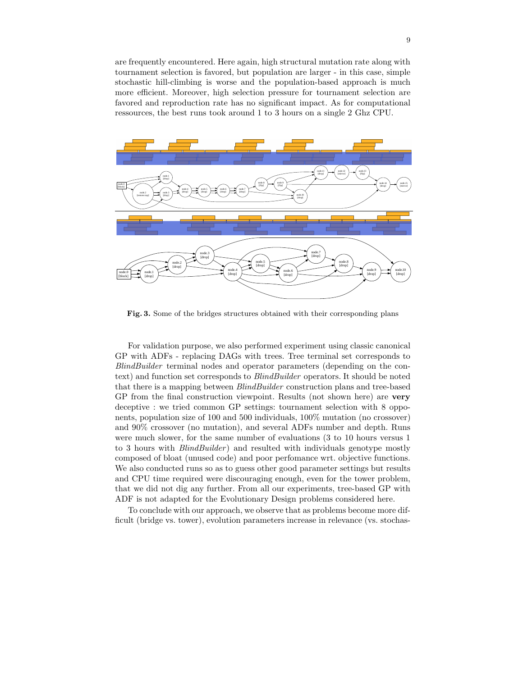are frequently encountered. Here again, high structural mutation rate along with tournament selection is favored, but population are larger - in this case, simple stochastic hill-climbing is worse and the population-based approach is much more efficient. Moreover, high selection pressure for tournament selection are favored and reproduction rate has no significant impact. As for computational ressources, the best runs took around 1 to 3 hours on a single 2 Ghz CPU.



Fig. 3. Some of the bridges structures obtained with their corresponding plans

For validation purpose, we also performed experiment using classic canonical GP with ADFs - replacing DAGs with trees. Tree terminal set corresponds to BlindBuilder terminal nodes and operator parameters (depending on the context) and function set corresponds to BlindBuilder operators. It should be noted that there is a mapping between BlindBuilder construction plans and tree-based GP from the final construction viewpoint. Results (not shown here) are very deceptive : we tried common GP settings: tournament selection with 8 opponents, population size of 100 and 500 individuals, 100% mutation (no crossover) and 90% crossover (no mutation), and several ADFs number and depth. Runs were much slower, for the same number of evaluations (3 to 10 hours versus 1 to 3 hours with *BlindBuilder*) and resulted with individuals genotype mostly composed of bloat (unused code) and poor perfomance wrt. objective functions. We also conducted runs so as to guess other good parameter settings but results and CPU time required were discouraging enough, even for the tower problem, that we did not dig any further. From all our experiments, tree-based GP with ADF is not adapted for the Evolutionary Design problems considered here.

To conclude with our approach, we observe that as problems become more difficult (bridge vs. tower), evolution parameters increase in relevance (vs. stochas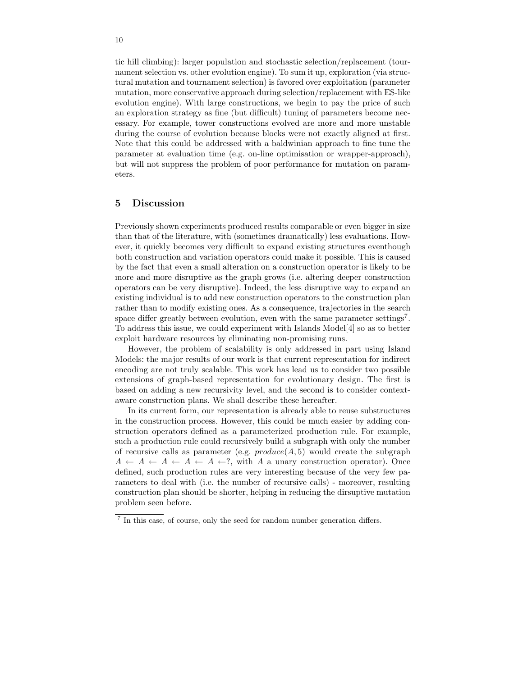tic hill climbing): larger population and stochastic selection/replacement (tournament selection vs. other evolution engine). To sum it up, exploration (via structural mutation and tournament selection) is favored over exploitation (parameter mutation, more conservative approach during selection/replacement with ES-like evolution engine). With large constructions, we begin to pay the price of such an exploration strategy as fine (but difficult) tuning of parameters become necessary. For example, tower constructions evolved are more and more unstable during the course of evolution because blocks were not exactly aligned at first. Note that this could be addressed with a baldwinian approach to fine tune the parameter at evaluation time (e.g. on-line optimisation or wrapper-approach), but will not suppress the problem of poor performance for mutation on parameters.

## 5 Discussion

Previously shown experiments produced results comparable or even bigger in size than that of the literature, with (sometimes dramatically) less evaluations. However, it quickly becomes very difficult to expand existing structures eventhough both construction and variation operators could make it possible. This is caused by the fact that even a small alteration on a construction operator is likely to be more and more disruptive as the graph grows (i.e. altering deeper construction operators can be very disruptive). Indeed, the less disruptive way to expand an existing individual is to add new construction operators to the construction plan rather than to modify existing ones. As a consequence, trajectories in the search space differ greatly between evolution, even with the same parameter settings<sup>7</sup>. To address this issue, we could experiment with Islands Model[4] so as to better exploit hardware resources by eliminating non-promising runs.

However, the problem of scalability is only addressed in part using Island Models: the major results of our work is that current representation for indirect encoding are not truly scalable. This work has lead us to consider two possible extensions of graph-based representation for evolutionary design. The first is based on adding a new recursivity level, and the second is to consider contextaware construction plans. We shall describe these hereafter.

In its current form, our representation is already able to reuse substructures in the construction process. However, this could be much easier by adding construction operators defined as a parameterized production rule. For example, such a production rule could recursively build a subgraph with only the number of recursive calls as parameter (e.g.  $produce(A, 5)$  would create the subgraph  $A \leftarrow A \leftarrow A \leftarrow A \leftarrow ?$ , with A a unary construction operator). Once defined, such production rules are very interesting because of the very few parameters to deal with (i.e. the number of recursive calls) - moreover, resulting construction plan should be shorter, helping in reducing the dirsuptive mutation problem seen before.

<sup>7</sup> In this case, of course, only the seed for random number generation differs.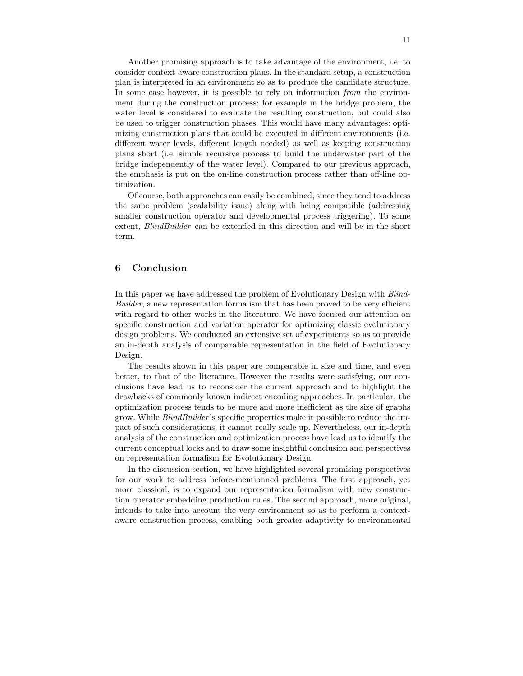Another promising approach is to take advantage of the environment, i.e. to consider context-aware construction plans. In the standard setup, a construction plan is interpreted in an environment so as to produce the candidate structure. In some case however, it is possible to rely on information from the environment during the construction process: for example in the bridge problem, the water level is considered to evaluate the resulting construction, but could also be used to trigger construction phases. This would have many advantages: optimizing construction plans that could be executed in different environments (i.e. different water levels, different length needed) as well as keeping construction plans short (i.e. simple recursive process to build the underwater part of the bridge independently of the water level). Compared to our previous approach, the emphasis is put on the on-line construction process rather than off-line optimization.

Of course, both approaches can easily be combined, since they tend to address the same problem (scalability issue) along with being compatible (addressing smaller construction operator and developmental process triggering). To some extent, BlindBuilder can be extended in this direction and will be in the short term.

# 6 Conclusion

In this paper we have addressed the problem of Evolutionary Design with Blind-Builder, a new representation formalism that has been proved to be very efficient with regard to other works in the literature. We have focused our attention on specific construction and variation operator for optimizing classic evolutionary design problems. We conducted an extensive set of experiments so as to provide an in-depth analysis of comparable representation in the field of Evolutionary Design.

The results shown in this paper are comparable in size and time, and even better, to that of the literature. However the results were satisfying, our conclusions have lead us to reconsider the current approach and to highlight the drawbacks of commonly known indirect encoding approaches. In particular, the optimization process tends to be more and more inefficient as the size of graphs grow. While *BlindBuilder's* specific properties make it possible to reduce the impact of such considerations, it cannot really scale up. Nevertheless, our in-depth analysis of the construction and optimization process have lead us to identify the current conceptual locks and to draw some insightful conclusion and perspectives on representation formalism for Evolutionary Design.

In the discussion section, we have highlighted several promising perspectives for our work to address before-mentionned problems. The first approach, yet more classical, is to expand our representation formalism with new construction operator embedding production rules. The second approach, more original, intends to take into account the very environment so as to perform a contextaware construction process, enabling both greater adaptivity to environmental